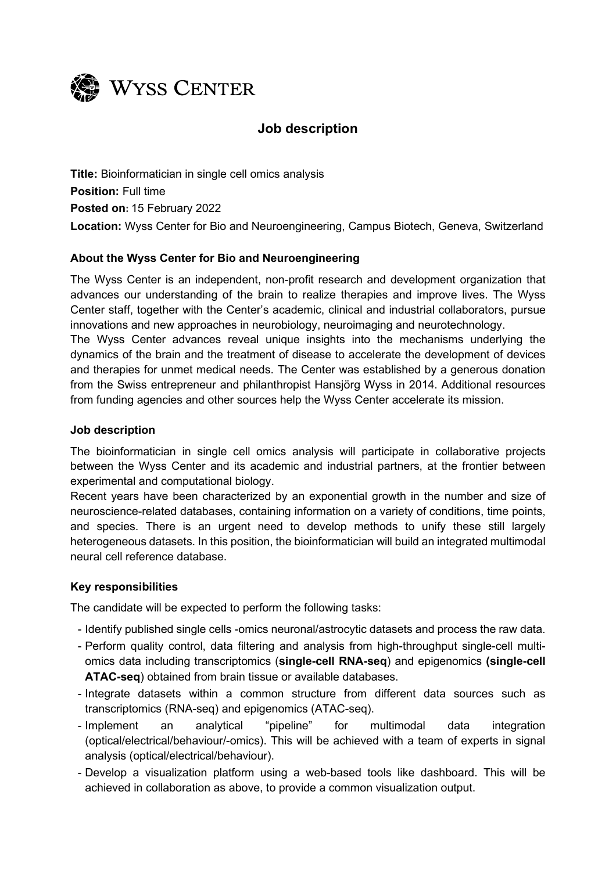

# **Job description**

**Title:** Bioinformatician in single cell omics analysis **Position:** Full time **Posted on:** 15 February 2022 **Location:** Wyss Center for Bio and Neuroengineering, Campus Biotech, Geneva, Switzerland

# **About the Wyss Center for Bio and Neuroengineering**

The Wyss Center is an independent, non-profit research and development organization that advances our understanding of the brain to realize therapies and improve lives. The Wyss Center staff, together with the Center's academic, clinical and industrial collaborators, pursue innovations and new approaches in neurobiology, neuroimaging and neurotechnology.

The Wyss Center advances reveal unique insights into the mechanisms underlying the dynamics of the brain and the treatment of disease to accelerate the development of devices and therapies for unmet medical needs. The Center was established by a generous donation from the Swiss entrepreneur and philanthropist Hansjörg Wyss in 2014. Additional resources from funding agencies and other sources help the Wyss Center accelerate its mission.

### **Job description**

The bioinformatician in single cell omics analysis will participate in collaborative projects between the Wyss Center and its academic and industrial partners, at the frontier between experimental and computational biology.

Recent years have been characterized by an exponential growth in the number and size of neuroscience-related databases, containing information on a variety of conditions, time points, and species. There is an urgent need to develop methods to unify these still largely heterogeneous datasets. In this position, the bioinformatician will build an integrated multimodal neural cell reference database.

### **Key responsibilities**

The candidate will be expected to perform the following tasks:

- Identify published single cells -omics neuronal/astrocytic datasets and process the raw data.
- Perform quality control, data filtering and analysis from high-throughput single-cell multiomics data including transcriptomics (**single-cell RNA-seq**) and epigenomics **(single-cell ATAC-seq**) obtained from brain tissue or available databases.
- Integrate datasets within a common structure from different data sources such as transcriptomics (RNA-seq) and epigenomics (ATAC-seq).
- Implement an analytical "pipeline" for multimodal data integration (optical/electrical/behaviour/-omics). This will be achieved with a team of experts in signal analysis (optical/electrical/behaviour).
- Develop a visualization platform using a web-based tools like dashboard. This will be achieved in collaboration as above, to provide a common visualization output.